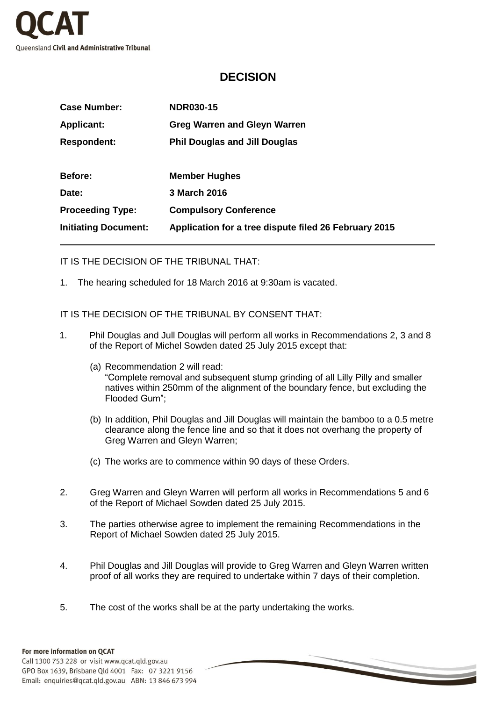

## **DECISION**

| <b>Case Number:</b>         | <b>NDR030-15</b>                                      |
|-----------------------------|-------------------------------------------------------|
| <b>Applicant:</b>           | <b>Greg Warren and Gleyn Warren</b>                   |
| <b>Respondent:</b>          | <b>Phil Douglas and Jill Douglas</b>                  |
|                             |                                                       |
| <b>Before:</b>              | <b>Member Hughes</b>                                  |
| Date:                       | 3 March 2016                                          |
| <b>Proceeding Type:</b>     | <b>Compulsory Conference</b>                          |
| <b>Initiating Document:</b> | Application for a tree dispute filed 26 February 2015 |

IT IS THE DECISION OF THE TRIBUNAL THAT:

1. The hearing scheduled for 18 March 2016 at 9:30am is vacated.

IT IS THE DECISION OF THE TRIBUNAL BY CONSENT THAT:

- 1. Phil Douglas and Jull Douglas will perform all works in Recommendations 2, 3 and 8 of the Report of Michel Sowden dated 25 July 2015 except that:
	- (a) Recommendation 2 will read: "Complete removal and subsequent stump grinding of all Lilly Pilly and smaller natives within 250mm of the alignment of the boundary fence, but excluding the Flooded Gum";
	- (b) In addition, Phil Douglas and Jill Douglas will maintain the bamboo to a 0.5 metre clearance along the fence line and so that it does not overhang the property of Greg Warren and Gleyn Warren;
	- (c) The works are to commence within 90 days of these Orders.
- 2. Greg Warren and Gleyn Warren will perform all works in Recommendations 5 and 6 of the Report of Michael Sowden dated 25 July 2015.
- 3. The parties otherwise agree to implement the remaining Recommendations in the Report of Michael Sowden dated 25 July 2015.
- 4. Phil Douglas and Jill Douglas will provide to Greg Warren and Gleyn Warren written proof of all works they are required to undertake within 7 days of their completion.
- 5. The cost of the works shall be at the party undertaking the works.